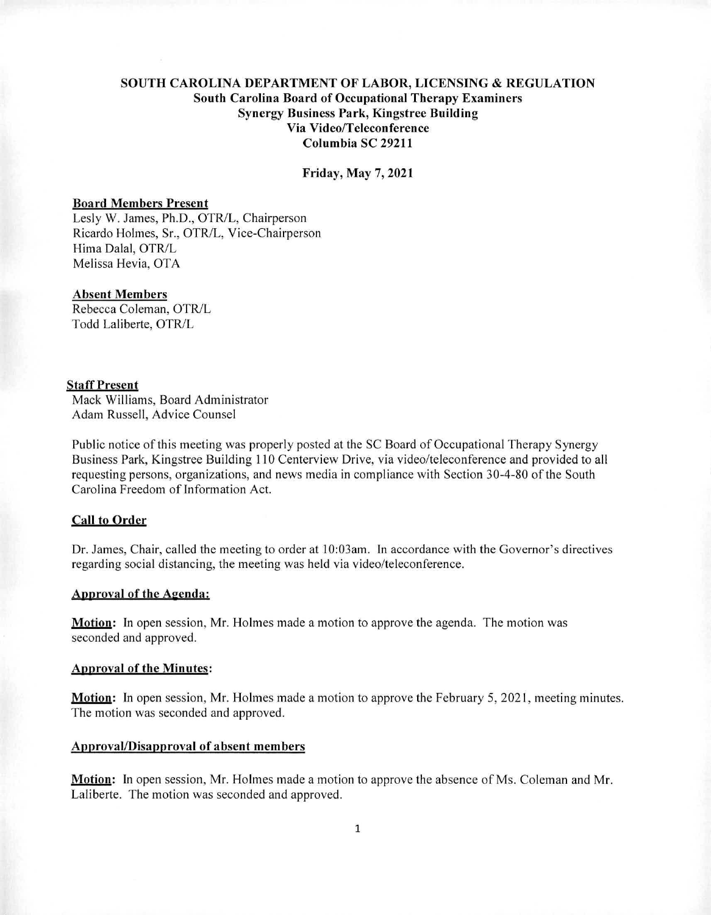# **SOUTH CAROLINA DEPARTMENT OF LABOR, LICENSING** *8z* **REGULATION South Carolina Board of Occupational Therapy Examiners Synergy Business Park, Kingstree Building Via Video/Teleconference Columbia SC 29211**

**Friday, May 7,2021** 

#### **Board Members Present**

Lesly W. James, Ph.D., OTR/L, Chairperson Ricardo Holmes, Sr., OTR/L, Vice-Chairperson Hima Dalai, OTR/L Melissa Hevia, OTA

## **Absent Members**

Rebecca Coleman, OTR/L Todd Laliberte, OTR/L

#### **Staff Present**

Mack Williams, Board Administrator Adam Russell, Advice Counsel

Public notice of this meeting was properly posted at the SC Board of Occupational Therapy Synergy Business Park, Kingstree Building 110 Centerview Drive, via video/teleconference and provided to all requesting persons, organizations, and news media in compliance with Section 30-4-80 of the South Carolina Freedom of Information Act.

# **Call to** Order

Dr. James, Chair, called the meeting to order at 10:03am. In accordance with the Governor's directives regarding social distancing, the meeting was held via video/teleconference.

#### **Annroval of the Agenda:**

**Motioq:** In open session, Mr. Holmes made a motion to approve the agenda. The motion was seconded and approved.

#### ADDroval of the **Minutes:**

**Motion:** In open session, Mr. Holmes made a motion to approve the February 5, 2021, meeting minutes. The motion was seconded and approved.

#### **Approval/Disapproval of absent members**

**Motion:** In open session, Mr. Holmes made a motion to approve the absence of Ms. Coleman and Mr. Laliberte. The motion was seconded and approved.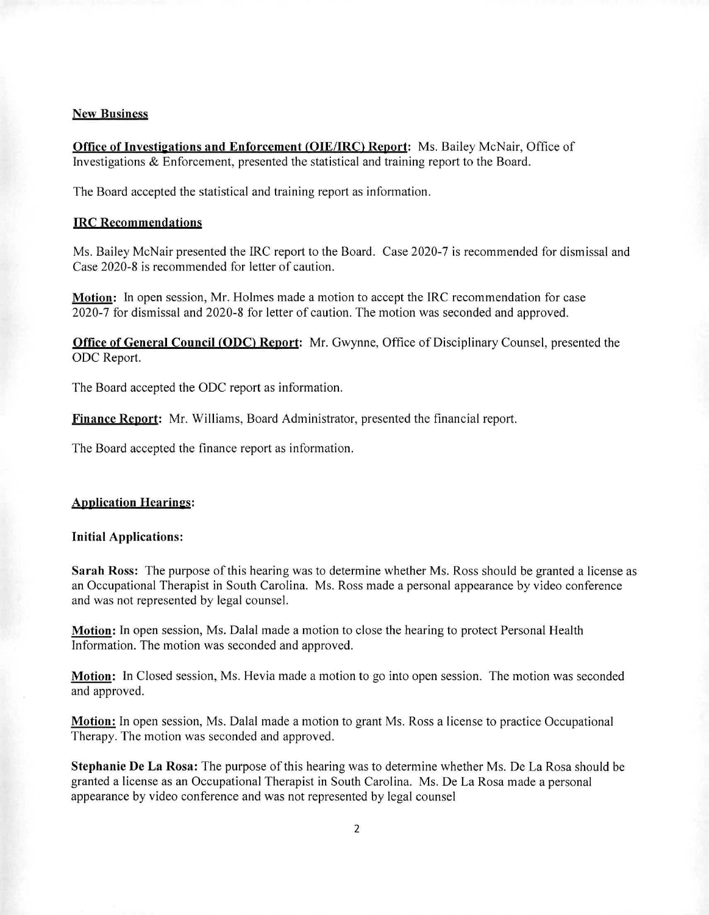#### New Business

Office of Investigations and Enforcement (OIE/IRC) Report: Ms. Bailey McNair, Office of Investigations & Enforcement, presented the statistical and training report to the Board.

The Board accepted the statistical and training report as information.

#### **IRC Recommendations**

Ms. Bailey McNair presented the IRC report to the Board. Case 2020-7 is recommended for dismissal and Case 2020-8 is recommended for letter of caution.

Motion: In open session, Mr. Holmes made a motion to accept the IRC recommendation for case 2020-7 for dismissal and 2020-8 for letter of caution. The motion was seconded and approved.

**Office of General Council (ODC) Report:** Mr. Gwynne, Office of Disciplinary Counsel, presented the ODC Report.

The Board accepted the ODC report as information.

**Finance Renort:** Mr. Williams, Board Administrator, presented the financial report.

The Board accepted the finance report as information.

#### **Application Hearings:**

## Initial Applications:

Sarah Ross: The purpose of this hearing was to determine whether Ms. Ross should be granted a license as an Occupational Therapist in South Carolina. Ms. Ross made a personal appearance by video conference and was not represented by legal counsel.

**Motion:** In open session, Ms. Dalai made a motion to close the hearing to protect Personal Health Information. The motion was seconded and approved.

**Motion:** In Closed session, Ms. Hevia made a motion to go into open session. The motion was seconded and approved.

**Motion:** In open session, Ms. Dalai made a motion to grant Ms. Ross a license to practice Occupational Therapy. The motion was seconded and approved.

**Stephanie** De La Rosa: The purpose of this hearing was to determine whether Ms. De La Rosa should be granted a license as an Occupational Therapist in South Carolina. Ms. De La Rosa made a personal appearance by video conference and was not represented by legal counsel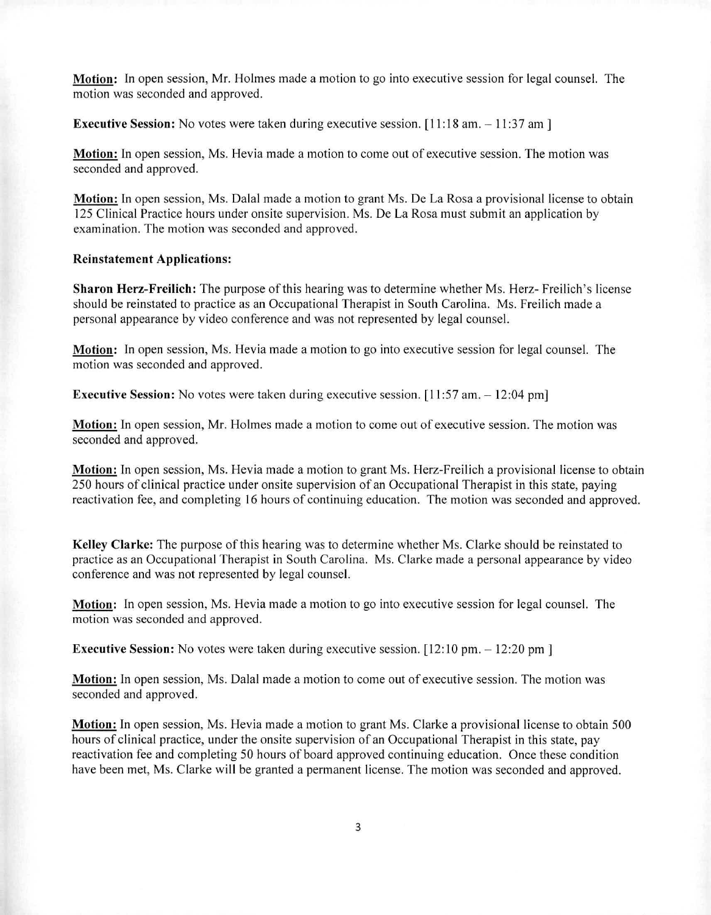**Motion:** In open session, Mr. Holmes made a motion to go into executive session for legal counsel. The motion was seconded and approved.

**Executive Session:** No votes were taken during executive session. [11:18 am. - 11:37 am]

**Motion:** In open session, Ms. Hevia made a motion to come out of executive session. The motion was seconded and approved.

**Motion:** In open session, Ms. Dalai made a motion to grant Ms. De La Rosa a provisional license to obtain 125 Clinical Practice hours under onsite supervision. Ms. De La Rosa must submit an application by examination. The motion was seconded and approved.

## **Reinstatement Applications:**

**Sharon Herz-Freilich:** The purpose of this hearing was to determine whether Ms. Herz- Freilich's license should be reinstated to practice as an Occupational Therapist in South Carolina. Ms. Freilich made a personal appearance by video conference and was not represented by legal counsel.

**Motion:** In open session, Ms. Hevia made a motion to go into executive session for legal counsel. The motion was seconded and approved.

**Executive Session:** No votes were taken during executive session. [11:57 am. — 12:04 pm]

**Motion:** In open session, Mr. Holmes made a motion to come out of executive session. The motion was seconded and approved.

**Motion:** In open session, Ms. Hevia made a motion to grant Ms. Herz-Freilich a provisional license to obtain 250 hours of clinical practice under onsite supervision of an Occupational Therapist in this state, paying reactivation fee, and completing 16 hours of continuing education. The motion was seconded and approved.

**Kelley Clarke:** The purpose of this hearing was to determine whether Ms. Clarke should be reinstated to practice as an Occupational Therapist in South Carolina. Ms. Clarke made a personal appearance by video conference and was not represented by legal counsel.

**Motion:** In open session, Ms. Hevia made a motion to go into executive session for legal counsel. The motion was seconded and approved.

**Executive Session:** No votes were taken during executive session. [12:10 pm. - 12:20 pm]

**Motion:** In open session, Ms. Dalai made a motion to come out of executive session. The motion was seconded and approved.

**Motion.** In open session, Ms. Hevia made a motion to grant Ms. Clarke a provisional license to obtain 500 hours of clinical practice, under the onsite supervision of an Occupational Therapist in this state, pay reactivation fee and completing 50 hours of board approved continuing education. Once these condition have been met, Ms. Clarke will be granted a permanent license. The motion was seconded and approved.